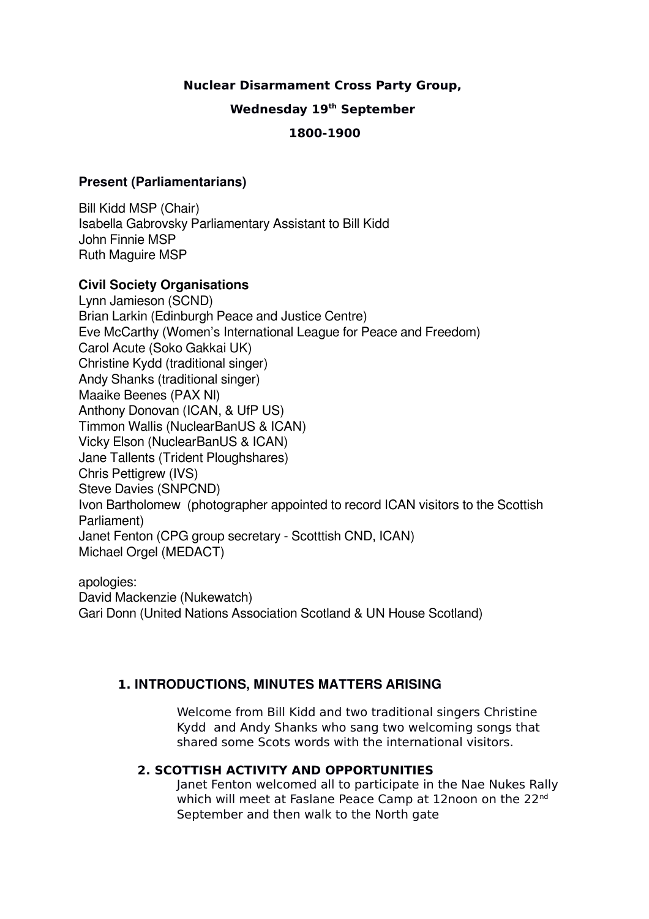# **Nuclear Disarmament Cross Party Group,**

## **Wednesday 19th September**

# **1800-1900**

## **Present (Parliamentarians)**

Bill Kidd MSP (Chair) Isabella Gabrovsky Parliamentary Assistant to Bill Kidd John Finnie MSP Ruth Maguire MSP

# **Civil Society Organisations**

Lynn Jamieson (SCND) Brian Larkin (Edinburgh Peace and Justice Centre) Eve McCarthy (Women's International League for Peace and Freedom) Carol Acute (Soko Gakkai UK) Christine Kydd (traditional singer) Andy Shanks (traditional singer) Maaike Beenes (PAX Nl) Anthony Donovan (ICAN, & UfP US) Timmon Wallis (NuclearBanUS & ICAN) Vicky Elson (NuclearBanUS & ICAN) Jane Tallents (Trident Ploughshares) Chris Pettigrew (IVS) Steve Davies (SNPCND) Ivon Bartholomew (photographer appointed to record ICAN visitors to the Scottish Parliament) Janet Fenton (CPG group secretary - Scotttish CND, ICAN) Michael Orgel (MEDACT)

apologies: David Mackenzie (Nukewatch) Gari Donn (United Nations Association Scotland & UN House Scotland)

# **1. INTRODUCTIONS, MINUTES MATTERS ARISING**

Welcome from Bill Kidd and two traditional singers Christine Kydd and Andy Shanks who sang two welcoming songs that shared some Scots words with the international visitors.

# **2. SCOTTISH ACTIVITY AND OPPORTUNITIES**

Janet Fenton welcomed all to participate in the Nae Nukes Rally which will meet at Faslane Peace Camp at 12noon on the 22<sup>nd</sup> September and then walk to the North gate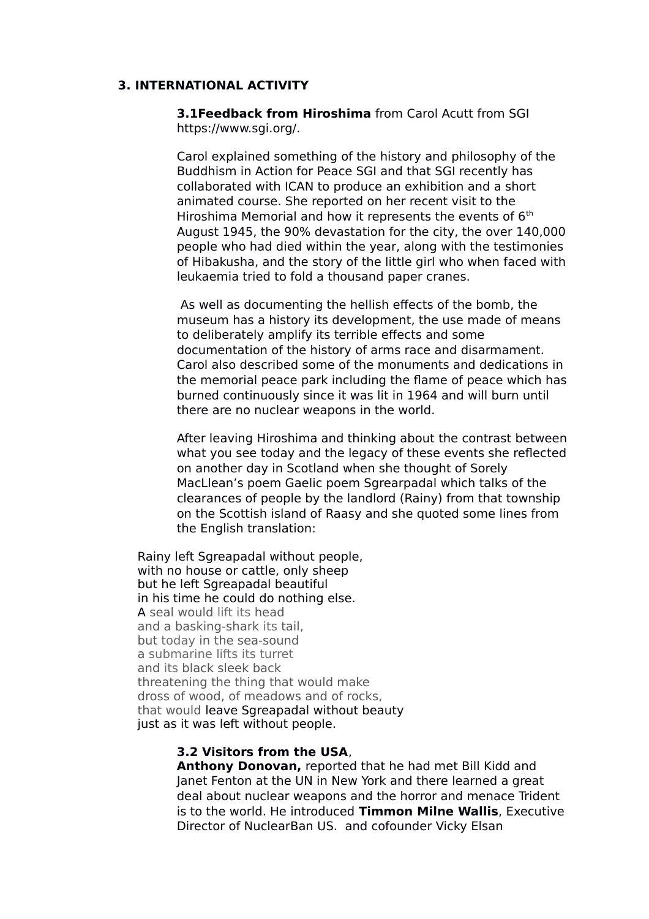### **3. INTERNATIONAL ACTIVITY**

**3.1Feedback from Hiroshima** from Carol Acutt from SGI https://www.sgi.org/.

Carol explained something of the history and philosophy of the Buddhism in Action for Peace SGI and that SGI recently has collaborated with ICAN to produce an exhibition and a short animated course. She reported on her recent visit to the Hiroshima Memorial and how it represents the events of  $6<sup>th</sup>$ August 1945, the 90% devastation for the city, the over 140,000 people who had died within the year, along with the testimonies of Hibakusha, and the story of the little girl who when faced with leukaemia tried to fold a thousand paper cranes.

 As well as documenting the hellish effects of the bomb, the museum has a history its development, the use made of means to deliberately amplify its terrible effects and some documentation of the history of arms race and disarmament. Carol also described some of the monuments and dedications in the memorial peace park including the flame of peace which has burned continuously since it was lit in 1964 and will burn until there are no nuclear weapons in the world.

After leaving Hiroshima and thinking about the contrast between what you see today and the legacy of these events she reflected on another day in Scotland when she thought of Sorely MacLlean's poem Gaelic poem Sgrearpadal which talks of the clearances of people by the landlord (Rainy) from that township on the Scottish island of Raasy and she quoted some lines from the English translation:

Rainy left Sgreapadal without people, with no house or cattle, only sheep but he left Sgreapadal beautiful in his time he could do nothing else. A seal would lift its head and a basking-shark its tail, but today in the sea-sound a submarine lifts its turret and its black sleek back threatening the thing that would make dross of wood, of meadows and of rocks, that would leave Sgreapadal without beauty just as it was left without people.

### **3.2 Visitors from the USA**,

**Anthony Donovan,** reported that he had met Bill Kidd and Janet Fenton at the UN in New York and there learned a great deal about nuclear weapons and the horror and menace Trident is to the world. He introduced **Timmon Milne Wallis**, Executive Director of NuclearBan US. and cofounder Vicky Elsan